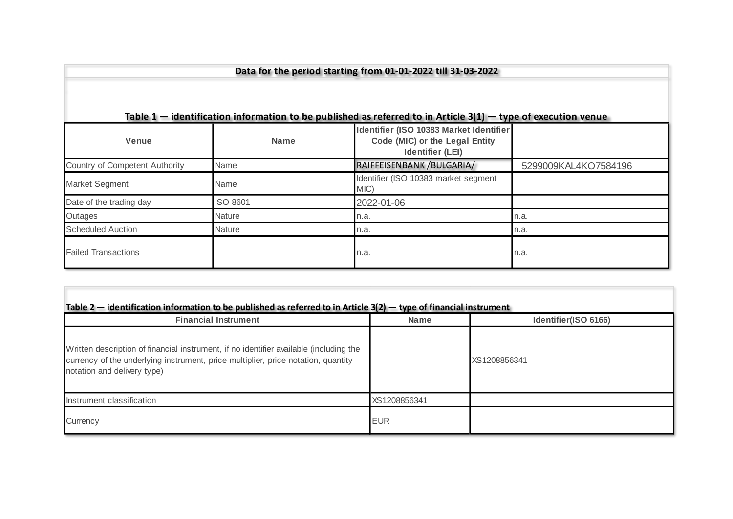| Data for the period starting from 01-01-2022 till 31-03-2022                                                                        |                 |                                                                                                                 |                      |  |  |  |  |  |  |  |
|-------------------------------------------------------------------------------------------------------------------------------------|-----------------|-----------------------------------------------------------------------------------------------------------------|----------------------|--|--|--|--|--|--|--|
|                                                                                                                                     |                 | Table $1$ – identification information to be published as referred to in Article 3(1) – type of execution venue |                      |  |  |  |  |  |  |  |
| Identifier (ISO 10383 Market Identifier<br>Code (MIC) or the Legal Entity<br><b>Venue</b><br><b>Name</b><br><b>Identifier (LEI)</b> |                 |                                                                                                                 |                      |  |  |  |  |  |  |  |
| Country of Competent Authority                                                                                                      | Name            | RAIFFEISENBANK / BULGARIA /                                                                                     | 5299009KAL4KO7584196 |  |  |  |  |  |  |  |
| Market Segment                                                                                                                      | Name            | Identifier (ISO 10383 market segment<br>MIC)                                                                    |                      |  |  |  |  |  |  |  |
| Date of the trading day                                                                                                             | <b>ISO 8601</b> | 2022-01-06                                                                                                      |                      |  |  |  |  |  |  |  |
| Outages                                                                                                                             | <b>Nature</b>   | n.a.                                                                                                            | n.a.                 |  |  |  |  |  |  |  |
| <b>Scheduled Auction</b>                                                                                                            | <b>Nature</b>   | n.a.                                                                                                            | n.a.                 |  |  |  |  |  |  |  |
| <b>Failed Transactions</b>                                                                                                          |                 | n.a.                                                                                                            | n.a.                 |  |  |  |  |  |  |  |

| <b>Financial Instrument</b>                                                                                                                                                                                | <b>Name</b>  | Identifier(ISO 6166) |  |  |
|------------------------------------------------------------------------------------------------------------------------------------------------------------------------------------------------------------|--------------|----------------------|--|--|
| Written description of financial instrument, if no identifier available (including the<br>currency of the underlying instrument, price multiplier, price notation, quantity<br>notation and delivery type) |              | XS1208856341         |  |  |
| Instrument classification                                                                                                                                                                                  | XS1208856341 |                      |  |  |
| Currency                                                                                                                                                                                                   | <b>EUR</b>   |                      |  |  |

 $\mathcal{C}^{\mathcal{A}}$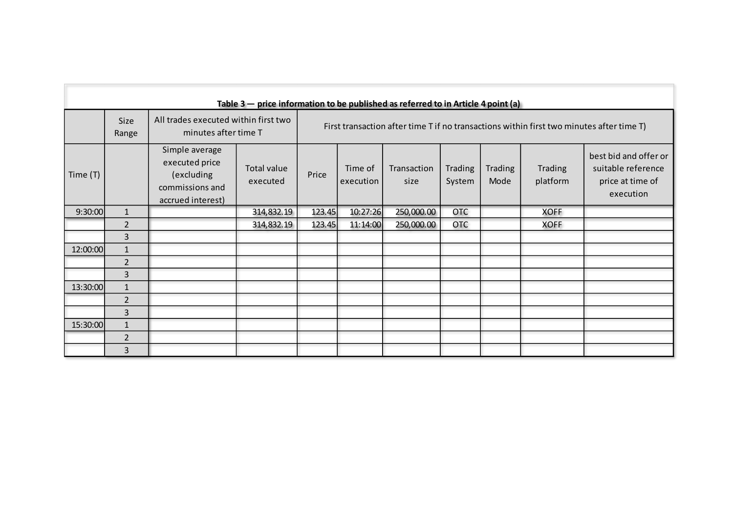| Table $3$ – price information to be published as referred to in Article 4 point (a) |                |                                                                                        |                         |                                                                                          |                      |                     |                          |                        |                     |                                                                              |
|-------------------------------------------------------------------------------------|----------------|----------------------------------------------------------------------------------------|-------------------------|------------------------------------------------------------------------------------------|----------------------|---------------------|--------------------------|------------------------|---------------------|------------------------------------------------------------------------------|
|                                                                                     | Size<br>Range  | All trades executed within first two<br>minutes after time T                           |                         | First transaction after time T if no transactions within first two minutes after time T) |                      |                     |                          |                        |                     |                                                                              |
| Time $(T)$                                                                          |                | Simple average<br>executed price<br>(excluding<br>commissions and<br>accrued interest) | Total value<br>executed | Price                                                                                    | Time of<br>execution | Transaction<br>size | <b>Trading</b><br>System | <b>Trading</b><br>Mode | Trading<br>platform | best bid and offer or<br>suitable reference<br>price at time of<br>execution |
| 9:30:00                                                                             | $1\,$          |                                                                                        | 314,832.19              | 123.45                                                                                   | 10:27:26             | 250,000.00          | <b>OTC</b>               |                        | <b>XOFF</b>         |                                                                              |
|                                                                                     | $\overline{2}$ |                                                                                        | 314,832.19              | 123.45                                                                                   | 11:14:00             | 250,000.00          | <b>OTC</b>               |                        | <b>XOFF</b>         |                                                                              |
|                                                                                     | $\overline{3}$ |                                                                                        |                         |                                                                                          |                      |                     |                          |                        |                     |                                                                              |
| 12:00:00                                                                            | $\mathbf{1}$   |                                                                                        |                         |                                                                                          |                      |                     |                          |                        |                     |                                                                              |
|                                                                                     | $\overline{2}$ |                                                                                        |                         |                                                                                          |                      |                     |                          |                        |                     |                                                                              |
|                                                                                     | $\overline{3}$ |                                                                                        |                         |                                                                                          |                      |                     |                          |                        |                     |                                                                              |
| 13:30:00                                                                            | $1\,$          |                                                                                        |                         |                                                                                          |                      |                     |                          |                        |                     |                                                                              |
|                                                                                     | $\overline{2}$ |                                                                                        |                         |                                                                                          |                      |                     |                          |                        |                     |                                                                              |
|                                                                                     | $\overline{3}$ |                                                                                        |                         |                                                                                          |                      |                     |                          |                        |                     |                                                                              |
| 15:30:00                                                                            | $\mathbf 1$    |                                                                                        |                         |                                                                                          |                      |                     |                          |                        |                     |                                                                              |
|                                                                                     | $\overline{2}$ |                                                                                        |                         |                                                                                          |                      |                     |                          |                        |                     |                                                                              |
|                                                                                     | $\overline{3}$ |                                                                                        |                         |                                                                                          |                      |                     |                          |                        |                     |                                                                              |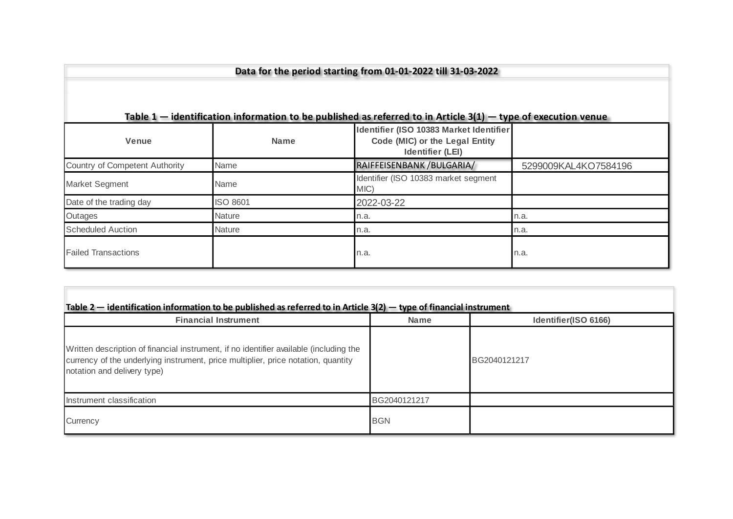| Data for the period starting from 01-01-2022 till 31-03-2022                                                                        |                 |                                                                                                                 |                      |  |  |  |  |  |  |  |
|-------------------------------------------------------------------------------------------------------------------------------------|-----------------|-----------------------------------------------------------------------------------------------------------------|----------------------|--|--|--|--|--|--|--|
|                                                                                                                                     |                 | Table $1$ – identification information to be published as referred to in Article 3(1) – type of execution venue |                      |  |  |  |  |  |  |  |
| Identifier (ISO 10383 Market Identifier<br>Code (MIC) or the Legal Entity<br><b>Venue</b><br><b>Name</b><br><b>Identifier (LEI)</b> |                 |                                                                                                                 |                      |  |  |  |  |  |  |  |
| Country of Competent Authority                                                                                                      | Name            | RAIFFEISENBANK / BULGARIA /                                                                                     | 5299009KAL4KO7584196 |  |  |  |  |  |  |  |
| Market Segment                                                                                                                      | Name            | Identifier (ISO 10383 market segment<br>MIC)                                                                    |                      |  |  |  |  |  |  |  |
| Date of the trading day                                                                                                             | <b>ISO 8601</b> | 2022-03-22                                                                                                      |                      |  |  |  |  |  |  |  |
| Outages                                                                                                                             | <b>Nature</b>   | n.a.                                                                                                            | n.a.                 |  |  |  |  |  |  |  |
| <b>Scheduled Auction</b>                                                                                                            | <b>Nature</b>   | n.a.                                                                                                            | n.a.                 |  |  |  |  |  |  |  |
| <b>Failed Transactions</b>                                                                                                          |                 | n.a.                                                                                                            | n.a.                 |  |  |  |  |  |  |  |

| <b>Financial Instrument</b>                                                                                                                                                                                | <b>Name</b>  | Identifier(ISO 6166) |  |  |
|------------------------------------------------------------------------------------------------------------------------------------------------------------------------------------------------------------|--------------|----------------------|--|--|
| Written description of financial instrument, if no identifier available (including the<br>currency of the underlying instrument, price multiplier, price notation, quantity<br>notation and delivery type) |              | BG2040121217         |  |  |
| Instrument classification                                                                                                                                                                                  | BG2040121217 |                      |  |  |
| Currency                                                                                                                                                                                                   | <b>BGN</b>   |                      |  |  |

 $\mathcal{C}^{\mathcal{A}}$